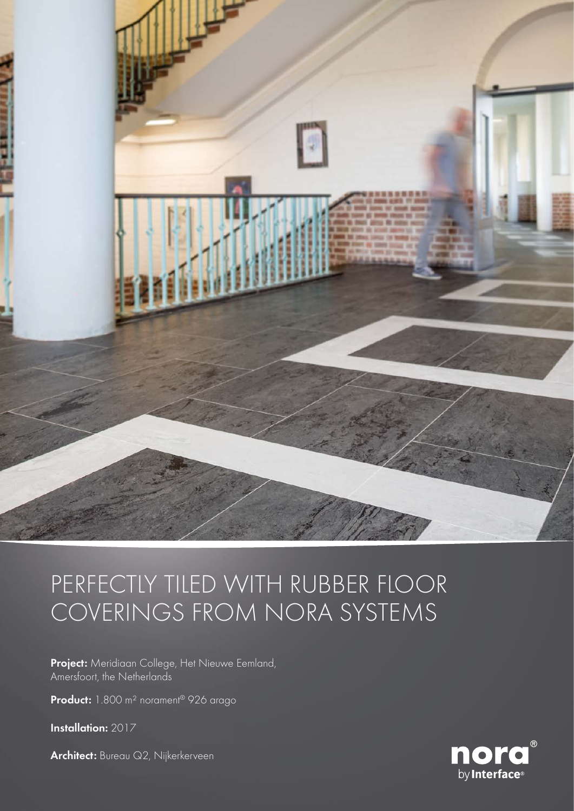

## PERFECTLY TILED WITH RUBBER FLOOR COVERINGS FROM NORA SYSTEMS

Project: Meridiaan College, Het Nieuwe Eemland, Amersfoort, the Netherlands

Product: 1.800 m<sup>2</sup> norament<sup>®</sup> 926 arago

Installation: 2017

Architect: Bureau Q2, Nijkerkerveen

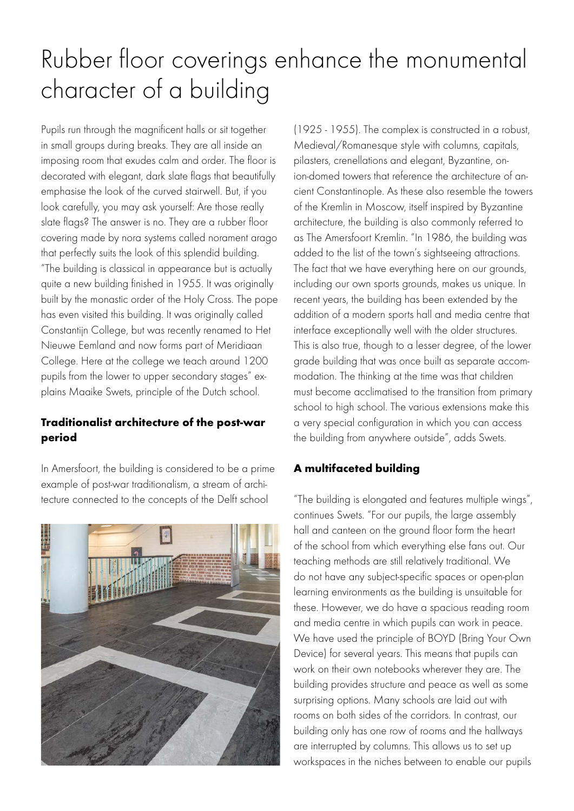# Rubber floor coverings enhance the monumental character of a building

Pupils run through the magnificent halls or sit together in small groups during breaks. They are all inside an imposing room that exudes calm and order. The floor is decorated with elegant, dark slate flags that beautifully emphasise the look of the curved stairwell. But, if you look carefully, you may ask yourself: Are those really slate flags? The answer is no. They are a rubber floor covering made by nora systems called norament arago that perfectly suits the look of this splendid building. "The building is classical in appearance but is actually quite a new building finished in 1955. It was originally built by the monastic order of the Holy Cross. The pope has even visited this building. It was originally called Constantijn College, but was recently renamed to Het Nieuwe Eemland and now forms part of Meridiaan College. Here at the college we teach around 1200 pupils from the lower to upper secondary stages" explains Maaike Swets, principle of the Dutch school.

## Traditionalist architecture of the post-war period

In Amersfoort, the building is considered to be a prime example of post-war traditionalism, a stream of architecture connected to the concepts of the Delft school



(1925 - 1955). The complex is constructed in a robust, Medieval/Romanesque style with columns, capitals, pilasters, crenellations and elegant, Byzantine, onion-domed towers that reference the architecture of ancient Constantinople. As these also resemble the towers of the Kremlin in Moscow, itself inspired by Byzantine architecture, the building is also commonly referred to as The Amersfoort Kremlin. "In 1986, the building was added to the list of the town's sightseeing attractions. The fact that we have everything here on our grounds, including our own sports grounds, makes us unique. In recent years, the building has been extended by the addition of a modern sports hall and media centre that interface exceptionally well with the older structures. This is also true, though to a lesser degree, of the lower grade building that was once built as separate accommodation. The thinking at the time was that children must become acclimatised to the transition from primary school to high school. The various extensions make this a very special configuration in which you can access the building from anywhere outside", adds Swets.

#### A multifaceted building

"The building is elongated and features multiple wings", continues Swets. "For our pupils, the large assembly hall and canteen on the ground floor form the heart of the school from which everything else fans out. Our teaching methods are still relatively traditional. We do not have any subject-specific spaces or open-plan learning environments as the building is unsuitable for these. However, we do have a spacious reading room and media centre in which pupils can work in peace. We have used the principle of BOYD (Bring Your Own Device) for several years. This means that pupils can work on their own notebooks wherever they are. The building provides structure and peace as well as some surprising options. Many schools are laid out with rooms on both sides of the corridors. In contrast, our building only has one row of rooms and the hallways are interrupted by columns. This allows us to set up workspaces in the niches between to enable our pupils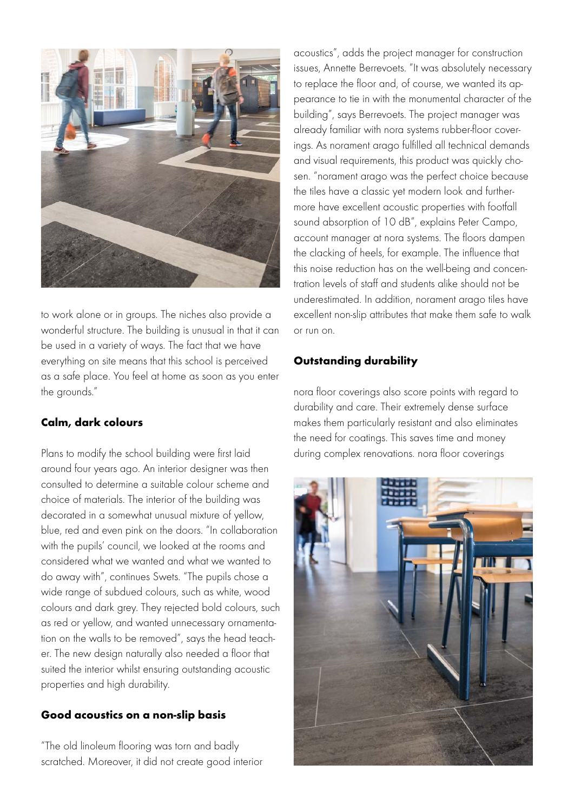

to work alone or in groups. The niches also provide a wonderful structure. The building is unusual in that it can be used in a variety of ways. The fact that we have everything on site means that this school is perceived as a safe place. You feel at home as soon as you enter the grounds."

#### Calm, dark colours

Plans to modify the school building were first laid around four years ago. An interior designer was then consulted to determine a suitable colour scheme and choice of materials. The interior of the building was decorated in a somewhat unusual mixture of yellow, blue, red and even pink on the doors. "In collaboration with the pupils' council, we looked at the rooms and considered what we wanted and what we wanted to do away with", continues Swets. "The pupils chose a wide range of subdued colours, such as white, wood colours and dark grey. They rejected bold colours, such as red or yellow, and wanted unnecessary ornamentation on the walls to be removed", says the head teacher. The new design naturally also needed a floor that suited the interior whilst ensuring outstanding acoustic properties and high durability.

#### Good acoustics on a non-slip basis

"The old linoleum flooring was torn and badly scratched. Moreover, it did not create good interior

acoustics", adds the project manager for construction issues, Annette Berrevoets. "It was absolutely necessary to replace the floor and, of course, we wanted its appearance to tie in with the monumental character of the building", says Berrevoets. The project manager was already familiar with nora systems rubber-floor coverings. As norament arago fulfilled all technical demands and visual requirements, this product was quickly chosen. "norament arago was the perfect choice because the tiles have a classic yet modern look and furthermore have excellent acoustic properties with footfall sound absorption of 10 dB", explains Peter Campo, account manager at nora systems. The floors dampen the clacking of heels, for example. The influence that this noise reduction has on the well-being and concentration levels of staff and students alike should not be underestimated. In addition, norament arago tiles have excellent non-slip attributes that make them safe to walk or run on.

## Outstanding durability

nora floor coverings also score points with regard to durability and care. Their extremely dense surface makes them particularly resistant and also eliminates the need for coatings. This saves time and money during complex renovations. nora floor coverings